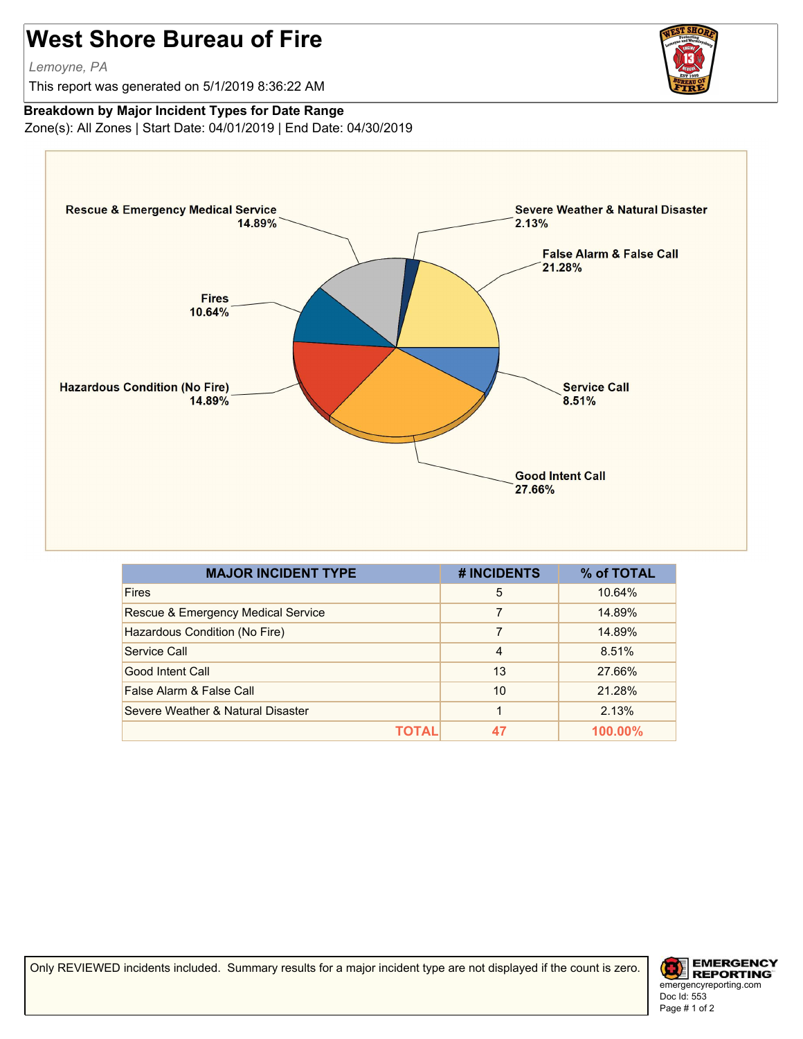## **West Shore Bureau of Fire**

*Lemoyne, PA*

This report was generated on 5/1/2019 8:36:22 AM



## **Breakdown by Major Incident Types for Date Range**

Zone(s): All Zones | Start Date: 04/01/2019 | End Date: 04/30/2019



| <b>MAJOR INCIDENT TYPE</b>         | # INCIDENTS    | % of TOTAL |
|------------------------------------|----------------|------------|
| <b>Fires</b>                       | 5              | 10.64%     |
| Rescue & Emergency Medical Service | 7              | 14.89%     |
| Hazardous Condition (No Fire)      | 7              | 14.89%     |
| Service Call                       | $\overline{4}$ | 8.51%      |
| Good Intent Call                   | 13             | 27.66%     |
| False Alarm & False Call           | 10             | 21.28%     |
| Severe Weather & Natural Disaster  |                | 2.13%      |
| ΤΩΤΑΙ                              |                | 100.00%    |

Only REVIEWED incidents included. Summary results for a major incident type are not displayed if the count is zero.